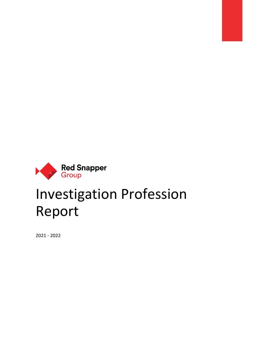

# Investigation Profession Report

2021 - 2022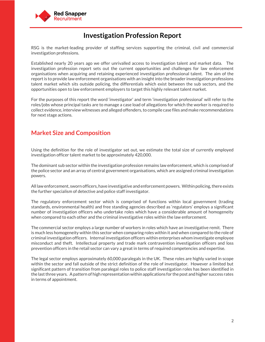

## **Investigation Profession Report**

RSG is the market-leading provider of staffing services supporting the criminal, civil and commercial investigation professions.

Established nearly 20 years ago we offer unrivalled access to investigation talent and market data. The investigation profession report sets out the current opportunities and challenges for law enforcement organisations when acquiring and retaining experienced investigation professional talent. The aim of the report is to provide law enforcement organisations with an insight into the broader investigation professions talent market which sits outside policing, the differentials which exist between the sub sectors, and the opportunities open to law enforcement employers to target this highly relevant talent market.

For the purposes of this report the word 'investigator' and term 'investigation professional' will refer to the roles/jobs whose principal tasks are to manage a case load of allegations for which the worker is required to collect evidence, interview witnesses and alleged offenders, to compile case files and make recommendations for next stage actions.

#### **Market Size and Composition**

Using the definition for the role of investigator set out, we estimate the total size of currently employed investigation officer talent market to be approximately 420,000.

The dominant sub sector within the investigation profession remains law enforcement, which is comprised of the police sector and an array of central government organisations, which are assigned criminal investigation powers.

All law enforcement, sworn officers, have investigative and enforcement powers. Within policing, there exists the further specialism of detective and police staff investigator.

The regulatory enforcement sector which is comprised of functions within local government (trading standards, environmental health) and free standing agencies described as 'regulators' employs a significant number of investigation officers who undertake roles which have a considerable amount of homogeneity when compared to each other and the criminal investigative roles within the law enforcement.

The commercial sector employs a large number of workers in roles which have an investigative remit. There is much less homogeneity within this sector when comparing roles within it and when compared to the role of criminal investigation officers. Internal investigation officers within enterprises whom investigate employee misconduct and theft. Intellectual property and trade mark contravention investigation officers and loss prevention officers in the retail sector can vary a great in terms of required competencies and expertise.

The legal sector employs approximately 60,000 paralegals in the UK. These roles are highly varied in scope within the sector and fall outside of the strict definition of the role of investigator. However a limited but significant pattern of transition from paralegal roles to police staff investigation roles has been identified in the last three years. A pattern of high representation within applications for the post and higher success rates in terms of appointment.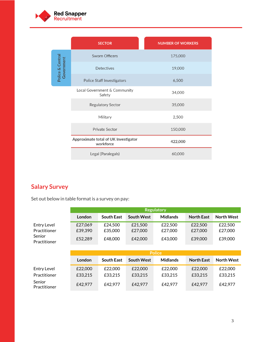

|                                | <b>SECTOR</b>                                     | <b>NUMBER OF WORKERS</b> |
|--------------------------------|---------------------------------------------------|--------------------------|
|                                | <b>Sworn Officers</b>                             | 175,000                  |
| Police & Central<br>Government | <b>Detectives</b>                                 | 19,000                   |
|                                | Police Staff Investigators                        | 6,500                    |
|                                | Local Government & Community<br>Safety            | 34,000                   |
|                                | Regulatory Sector                                 | 35,000                   |
|                                | Military                                          | 2,500                    |
|                                | <b>Private Sector</b>                             | 150,000                  |
|                                | Approximate total of UK Investigator<br>workforce | 422,000                  |
|                                | Legal (Paralegals)                                | 60,000                   |

# **Salary Survey**

Set out below in table format is a survey on pay:

|                        | <b>Regulatory</b> |                   |                   |                 |                   |                   |
|------------------------|-------------------|-------------------|-------------------|-----------------|-------------------|-------------------|
|                        | London            | <b>South East</b> | <b>South West</b> | <b>Midlands</b> | <b>North East</b> | <b>North West</b> |
| <b>Entry Level</b>     | £27,069           | £24,500           | £21,500           | £22,500         | £22,500           | £22,500           |
| Practitioner           | £39,390           | £35,000           | £27,000           | £27,000         | £27,000           | £27,000           |
| Senior<br>Practitioner | £52,289           | £48,000           | £42,000           | £43,000         | £39,000           | £39,000           |
|                        |                   |                   |                   |                 |                   |                   |
|                        |                   |                   |                   |                 |                   |                   |
|                        |                   |                   |                   | <b>Police</b>   |                   |                   |
|                        | London            | <b>South East</b> | <b>South West</b> | <b>Midlands</b> | <b>North East</b> | <b>North West</b> |
| <b>Entry Level</b>     | £22,000           | £22,000           | £22,000           | £22,000         | £22,000           | £22,000           |
| Practitioner           | £33,215           | £33,215           | £33,215           | £33,215         | £33,215           | £33,215           |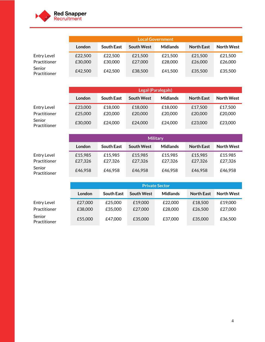

|                             | <b>Local Government</b> |                    |                    |                    |                    |                    |
|-----------------------------|-------------------------|--------------------|--------------------|--------------------|--------------------|--------------------|
|                             | London                  | <b>South East</b>  | <b>South West</b>  | <b>Midlands</b>    | <b>North East</b>  | <b>North West</b>  |
| Entry Level<br>Practitioner | £22,500<br>£30,000      | £22,500<br>£30,000 | £21,500<br>£27,000 | £21,500<br>£28,000 | £21,500<br>£26,000 | £21,500<br>£26,000 |
| Senior<br>Practitioner      | £42,500                 | £42,500            | £38,500            | £41,500            | £35,500            | £35,500            |

|                        | <b>Legal (Paralegals)</b> |                   |                   |                 |                   |                   |
|------------------------|---------------------------|-------------------|-------------------|-----------------|-------------------|-------------------|
|                        | London                    | <b>South East</b> | <b>South West</b> | <b>Midlands</b> | <b>North East</b> | <b>North West</b> |
| Entry Level            | £23,000                   | £18,000           | £18,000           | £18,000         | £17.500           | £17,500           |
| Practitioner           | £25,000                   | £20,000           | £20,000           | £20,000         | £20,000           | £20,000           |
| Senior<br>Practitioner | £30,000                   | £24,000           | £24,000           | £24,000         | £23,000           | £23,000           |

|                             | <b>Military</b>    |                    |                    |                    |                    |                    |
|-----------------------------|--------------------|--------------------|--------------------|--------------------|--------------------|--------------------|
|                             | <b>London</b>      | <b>South East</b>  | <b>South West</b>  | <b>Midlands</b>    | <b>North East</b>  | <b>North West</b>  |
| Entry Level<br>Practitioner | £15,985<br>£27,326 | £15,985<br>£27,326 | £15,985<br>£27,326 | £15,985<br>£27.326 | £15,985<br>£27,326 | £15.985<br>£27,326 |
| Senior<br>Practitioner      | £46,958            | £46,958            | £46,958            | £46,958            | £46,958            | £46,958            |

|                                    | <b>Private Sector</b> |                    |                    |                    |                    |                    |
|------------------------------------|-----------------------|--------------------|--------------------|--------------------|--------------------|--------------------|
|                                    | London                | <b>South East</b>  | <b>South West</b>  | <b>Midlands</b>    | <b>North East</b>  | <b>North West</b>  |
| <b>Entry Level</b><br>Practitioner | £27,000<br>£38,000    | £25,000<br>£35,000 | £19,000<br>£27,000 | £22,000<br>£28,000 | £18,500<br>£26,500 | £19,000<br>£27,000 |
| Senior<br>Practitioner             | £55,000               | £47.000            | £35,000            | £37,000            | £35,000            | £36,500            |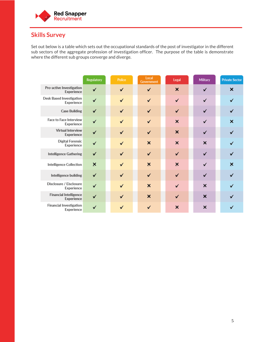

## **Skills Survey**

Set out below is a table which sets out the occupational standards of the post of investigator in the different sub sectors of the aggregate profession of investigation officer. The purpose of the table is demonstrate where the different sub groups converge and diverge.

|                                               | Regulatory                | Police       | Local<br>Government       | Legal                     | Military                  | <b>Private Sector</b>     |
|-----------------------------------------------|---------------------------|--------------|---------------------------|---------------------------|---------------------------|---------------------------|
| Pro-active Investigation<br>Experience        | $\checkmark$              | $\checkmark$ | $\checkmark$              | $\boldsymbol{\mathsf{x}}$ | ✔                         | $\boldsymbol{\mathsf{x}}$ |
| <b>Desk Based Investigation</b><br>Experience | $\checkmark$              | $\checkmark$ | $\checkmark$              | ✔                         | ✔                         | ✔                         |
| <b>Case Building</b>                          | ✔                         | ✓            | $\checkmark$              | $\checkmark$              | ✔                         | ✓                         |
| Face to Face Interview<br>Experience          | ✓                         | ✓            | ✓                         | ×                         | ✓                         | ×                         |
| <b>Virtual Interview</b><br>Experience        | ✔                         | ✔            | ✔                         | $\boldsymbol{\mathsf{x}}$ | $\checkmark$              | ✓                         |
| <b>Digital Forensic</b><br>Experience         | ✓                         | ✓            | $\boldsymbol{\mathsf{x}}$ | $\boldsymbol{\mathsf{x}}$ | $\boldsymbol{\mathsf{x}}$ | ✓                         |
| <b>Intelligence Gathering</b>                 | ✔                         | $\checkmark$ | $\checkmark$              | $\checkmark$              | ✔                         | ✔                         |
| <b>Intelligence Collection</b>                | $\boldsymbol{\mathsf{x}}$ | $\checkmark$ | $\boldsymbol{\mathsf{x}}$ | $\boldsymbol{\mathsf{x}}$ | $\checkmark$              | $\overline{\mathsf{x}}$   |
| Intelligence building                         | ✓                         | $\checkmark$ | $\checkmark$              | $\checkmark$              | ✓                         | ✓                         |
| Disclosure / Eisclosure<br>Experience         | $\checkmark$              | $\checkmark$ | $\boldsymbol{\mathsf{x}}$ | $\checkmark$              | ×                         | ✓                         |
| <b>Financial Intelligence</b><br>Experience   | $\checkmark$              | $\checkmark$ | $\boldsymbol{\mathsf{x}}$ | $\checkmark$              | $\boldsymbol{\mathsf{x}}$ | $\checkmark$              |
| Financial Investigation<br>Experience         | ✓                         | $\checkmark$ | ✓                         | ×                         | $\boldsymbol{\mathsf{x}}$ | ✓                         |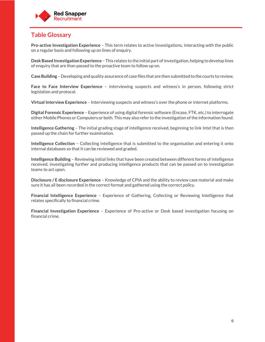

## **Table Glossary**

**Pro-active Investigation Experience** – This term relates to active Investigations, interacting with the public on a regular basis and following up on lines of enquiry.

**Desk Based Investigation Experience** – This relates to the initial part of investigation, helping to develop lines of enquiry that are than passed to the proactive team to follow up on.

**Case Building** – Developing and quality assurance of case files that are then submitted to the courts to review.

**Face to Face Interview Experience** – interviewing suspects and witness's in person, following strict legislation and protocol.

**Virtual Interview Experience** – Interviewing suspects and witness's over the phone or internet platforms.

**Digital Forensic Experience** – Experience of using digital forensic software (Encase, FTK, etc.) to interrogate either Mobile Phones or Computers or both. This may also refer to the investigation of the information found.

**Intelligence Gathering** – The initial grading stage of intelligence received, beginning to link Intel that is then passed up the chain for further examination.

**Intelligence Collection** – Collecting intelligence that is submitted to the organisation and entering it onto internal databases so that it can be reviewed and graded.

**Intelligence Building** – Reviewing initial links that have been created between different forms of intelligence received, investigating further and producing intelligence products that can be passed on to investigation teams to act upon.

**Disclosure / E disclosure Experience** – Knowledge of CPIA and the ability to review case material and make sure it has all been recorded in the correct format and gathered using the correct policy.

**Financial Intelligence Experience** – Experience of Gathering, Collecting or Reviewing Intelligence that relates specifically to financial crime.

**Financial Investigation Experience** – Experience of Pro-active or Desk based investigation focusing on financial crime.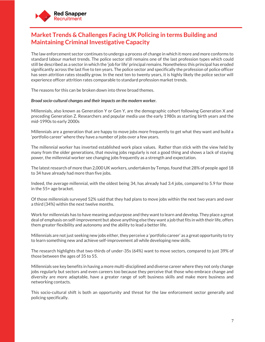

## **Market Trends & Challenges Facing UK Policing in terms Building and Maintaining Criminal Investigative Capacity**

The law enforcement sector continues to undergo a process of change in which it more and more conforms to standard labour market trends. The police sector still remains one of the last profession types which could still be described as a sector in which the 'job for life' principal remains. Nonetheless this principal has eroded significantly across the last five to ten years. The police sector and specifically the profession of police officer has seen attrition rates steadily grow. In the next ten to twenty years, it is highly likely the police sector will experience officer attrition rates comparable to standard profession market trends.

The reasons for this can be broken down into three broad themes.

#### *Broad socio-cultural changes and their impacts on the modern worker.*

Millennials, also known as Generation Y or Gen Y, are the demographic cohort following Generation X and preceding Generation Z. Researchers and popular media use the early 1980s as starting birth years and the mid-1990s to early 2000s

Millennials are a generation that are happy to move jobs more frequently to get what they want and build a 'portfolio career' where they have a number of jobs over a few years.

The millennial worker has inverted established work place values. Rather than stick with the view held by many from the older generations, that moving jobs regularly is not a good thing and shows a lack of staying power, the millennial worker see changing jobs frequently as a strength and expectation.

The latest research of more than 2,000 UK workers, undertaken by Tempo, found that 28% of people aged 18 to 34 have already had more than five jobs.

Indeed, the average millennial, with the oldest being 34, has already had 3.4 jobs, compared to 5.9 for those in the 55+ age bracket.

Of those millennials surveyed 52% said that they had plans to move jobs within the next two years and over a third (34%) within the next twelve months.

Work for millennials has to have meaning and purpose and they want to learn and develop. They place a great deal of emphasis on self-improvement but above anything else they want a job that fits in with their life, offers them greater flexibility and autonomy and the ability to lead a better life.

Millennials are not just seeking new jobs either, they perceive a 'portfolio career' as a great opportunity to try to learn something new and achieve self-improvement all while developing new skills.

The research highlights that two-thirds of under-35s (64%) want to move sectors, compared to just 39% of those between the ages of 35 to 55.

Millennials see key benefits in having a more multi-disciplined and diverse career where they not only change jobs regularly but sectors and even careers too because they perceive that those who embrace change and diversity are more adaptable, have a greater range of soft business skills and make more business and networking contacts.

This socio-cultural shift is both an opportunity and threat for the law enforcement sector generally and policing specifically.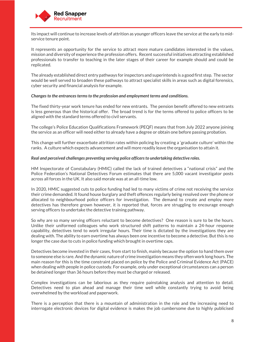

Its impact will continue to increase levels of attrition as younger officers leave the service at the early to midservice tenure point.

It represents an opportunity for the service to attract more mature candidates interested in the values, mission and diversity of experience the profession offers. Recent successful initiatives attracting established professionals to transfer to teaching in the later stages of their career for example should and could be replicated.

The already established direct entry pathways for inspectors and superintends is a good first step. The sector would be well served to broaden these pathways to attract specialist skills in areas such as digital forensics, cyber security and financial analysis for example.

#### *Changes to the entrances terms to the profession and employment terms and conditions.*

The fixed thirty-year work tenure has ended for new entrants. The pension benefit offered to new entrants is less generous than the historical offer. The broad trend is for the terms offered to police officers to be aligned with the standard terms offered to civil servants.

The college's Police Education Qualifications Framework (PEQF) means that from July 2022 anyone joining the service as an officer will need either to already have a degree or obtain one before passing probation.

This change will further exacerbate attrition rates within policing by creating a 'graduate culture' within the ranks. A culture which expects advancement and will more readily leave the organisation to attain it.

#### *Real and perceived challenges preventing serving police officers to undertaking detective roles.*

HM Inspectorate of Constabulary (HMIC) called the lack of trained detectives a "national crisis" and the Police Federation's National Detectives Forum estimates that there are 5,000 vacant investigator posts across all forces in the UK. It also said morale was at an all-time low.

In 2020, HMIC suggested cuts to police funding had led to many victims of crime not receiving the service their crime demanded. It found house burglary and theft offences regularly being resolved over the phone or allocated to neighbourhood police officers for investigation. The demand to create and employ more detectives has therefore grown however, it is reported that, forces are struggling to encourage enough serving officers to undertake the detective training pathway.

So why are so many serving officers reluctant to become detectives? One reason is sure to be the hours. Unlike their uniformed colleagues who work structured shift patterns to maintain a 24-hour response capability, detectives tend to work irregular hours. Their time is dictated by the investigations they are dealing with. The ability to earn overtime has always been one incentive to become a detective. But this is no longer the case due to cuts in police funding which brought in overtime caps.

Detectives become invested in their cases, from start to finish, mainly because the option to hand them over to someone else is rare. And the dynamic nature of crime investigation means they often work long hours. The main reason for this is the time constraint placed on police by the Police and Criminal Evidence Act (PACE) when dealing with people in police custody. For example, only under exceptional circumstances can a person be detained longer than 36 hours before they must be charged or released.

Complex investigations can be laborious as they require painstaking analysis and attention to detail. Detectives need to plan ahead and manage their time well while constantly trying to avoid being overwhelmed by the workload and paperwork.

There is a perception that there is a mountain of administration in the role and the increasing need to interrogate electronic devices for digital evidence is makes the job cumbersome due to highly publicised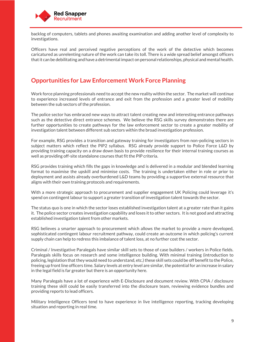

backlog of computers, tablets and phones awaiting examination and adding another level of complexity to investigations.

Officers have real and perceived negative perceptions of the work of the detective which becomes caricatured as unrelenting nature of the work can take its toll. There is a wide spread belief amongst officers that it can be debilitating and have a detrimental impact on personal relationships, physical and mental health.

#### **Opportunities for Law Enforcement Work Force Planning**

Work force planning professionals need to accept the new reality within the sector. The market will continue to experience increased levels of entrance and exit from the profession and a greater level of mobility between the sub sectors of the profession.

The police sector has embraced new ways to attract talent creating new and interesting entrance pathways such as the detective direct entrance schemes. We believe the RSG skills survey demonstrates there are further opportunities to create pathways for the law enforcement sector to create a greater mobility of investigation talent between different sub sectors within the broad investigation profession.

For example, RSG provides a transition and gateway training for investigators from non-policing sectors in subject matters which reflect the PIP2 syllabus. RSG already provide support to Police Force L&D by providing training capacity on a draw down basis to provide resilience for their internal training courses as well as providing off-site standalone courses that fit the PIP criteria.

RSG provides training which fills the gaps in knowledge and is delivered in a modular and blended learning format to maximise the upskill and minimise costs. The training is undertaken either in role or prior to deployment and assists already overburdened L&D teams by providing a supportive external resource that aligns with their own training protocols and requirements.

With a more strategic approach to procurement and supplier engagement UK Policing could leverage it's spend on contingent labour to support a greater transition of investigation talent towards the sector.

The status quo is one in which the sector loses established investigation talent at a greater rate than it gains it. The police sector creates investigation capability and loses it to other sectors. It is not good and attracting established investigation talent from other markets.

RSG believes a smarter approach to procurement which allows the market to provide a more developed, sophisticated contingent labour recruitment pathway, could create an outcome in which policing's current supply chain can help to redress this imbalance of talent loss, at no further cost the sector.

Criminal / Investigative Paralegals have similar skill sets to those of case builders / workers in Police fields. Paralegals skills focus on research and some intelligence building. With minimal training (introduction to policing, legislation that they would need to understand, etc.) these skill sets could be off benefit to the Police, freeing up front line officers time. Salary levels at entry level are similar, the potential for an increase in salary in the legal field is far greater but there is an opportunity here.

Many Paralegals have a lot of experience with E-Disclosure and document review. With CPIA / disclosure training these skill could be easily transferred into the disclosure team, reviewing evidence bundles and providing reports to lead officers.

Military Intelligence Officers tend to have experience in live intelligence reporting, tracking developing situation and reporting in real time.